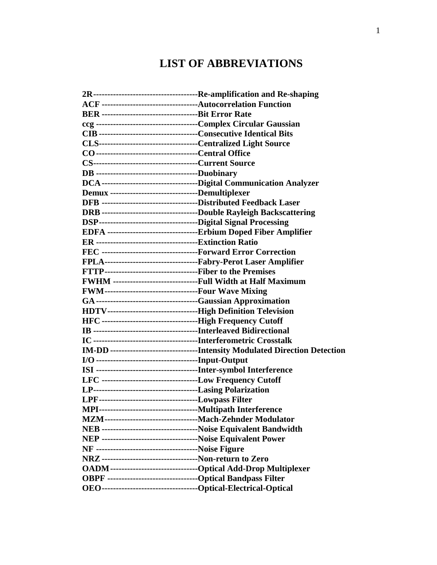## **LIST OF ABBREVIATIONS**

| ACF -----------------------------------Autocorrelation Function   |                                                                       |
|-------------------------------------------------------------------|-----------------------------------------------------------------------|
|                                                                   |                                                                       |
|                                                                   |                                                                       |
|                                                                   |                                                                       |
|                                                                   |                                                                       |
|                                                                   |                                                                       |
|                                                                   |                                                                       |
| DB -----------------------------------Duobinary                   |                                                                       |
|                                                                   |                                                                       |
| Demux --------------------------------Demultiplexer               |                                                                       |
| DFB -----------------------------------Distributed Feedback Laser |                                                                       |
|                                                                   | DRB -----------------------------------Double Rayleigh Backscattering |
|                                                                   |                                                                       |
|                                                                   | EDFA ----------------------------------Erbium Doped Fiber Amplifier   |
|                                                                   |                                                                       |
| FEC -----------------------------------Forward Error Correction   |                                                                       |
| FPLA----------------------------------Fabry-Perot Laser Amplifier |                                                                       |
|                                                                   |                                                                       |
| FWHM ------------------------------Full Width at Half Maximum     |                                                                       |
| FWM---------------------------------Four Wave Mixing              |                                                                       |
|                                                                   |                                                                       |
| HDTV---------------------------------High Definition Television   |                                                                       |
|                                                                   |                                                                       |
|                                                                   |                                                                       |
|                                                                   |                                                                       |
|                                                                   |                                                                       |
|                                                                   |                                                                       |
|                                                                   |                                                                       |
| LFC ---------------------------------Low Frequency Cutoff         |                                                                       |
|                                                                   |                                                                       |
| LPF----------------------------------Lowpass Filter               |                                                                       |
|                                                                   |                                                                       |
|                                                                   |                                                                       |
| NEB -----------------------------------Noise Equivalent Bandwidth |                                                                       |
| NEP ----------------------------------Noise Equivalent Power      |                                                                       |
|                                                                   |                                                                       |
| NRZ -----------------------------------Non-return to Zero         |                                                                       |
|                                                                   | OADM---------------------------------Optical Add-Drop Multiplexer     |
| OBPF ----------------------------------Optical Bandpass Filter    |                                                                       |
|                                                                   |                                                                       |
|                                                                   |                                                                       |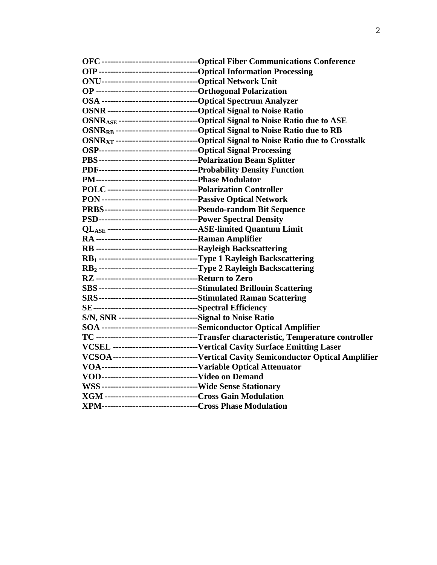|                                                                                | OSNR <sub>ASE</sub> --------------------------------Optical Signal to Noise Ratio due to ASE     |
|--------------------------------------------------------------------------------|--------------------------------------------------------------------------------------------------|
|                                                                                | OSNR <sub>RB</sub> ----------------------------------Optical Signal to Noise Ratio due to RB     |
|                                                                                | OSNR <sub>XT</sub> -------------------------------Optical Signal to Noise Ratio due to Crosstalk |
|                                                                                |                                                                                                  |
|                                                                                |                                                                                                  |
|                                                                                |                                                                                                  |
|                                                                                |                                                                                                  |
| POLC ----------------------------------Polarization Controller                 |                                                                                                  |
|                                                                                |                                                                                                  |
|                                                                                |                                                                                                  |
|                                                                                |                                                                                                  |
| QL <sub>ASE</sub> -----------------------------------ASE-limited Quantum Limit |                                                                                                  |
|                                                                                |                                                                                                  |
|                                                                                |                                                                                                  |
|                                                                                | RB1 ----------------------------------Type 1 Rayleigh Backscattering                             |
|                                                                                | RB2-----------------------------------Type 2 Rayleigh Backscattering                             |
|                                                                                |                                                                                                  |
|                                                                                |                                                                                                  |
|                                                                                |                                                                                                  |
|                                                                                |                                                                                                  |
| S/N, SNR -----------------------------Signal to Noise Ratio                    |                                                                                                  |
|                                                                                | SOA -----------------------------------Semiconductor Optical Amplifier                           |
|                                                                                | TC -----------------------------------Transfer characteristic, Temperature controller            |
|                                                                                | VCSEL -------------------------------Vertical Cavity Surface Emitting Laser                      |
|                                                                                | VCSOA--------------------------------Vertical Cavity Semiconductor Optical Amplifier             |
|                                                                                |                                                                                                  |
|                                                                                |                                                                                                  |
|                                                                                |                                                                                                  |
| XGM ----------------------------------Cross Gain Modulation                    |                                                                                                  |
| XPM-----------------------------------Cross Phase Modulation                   |                                                                                                  |